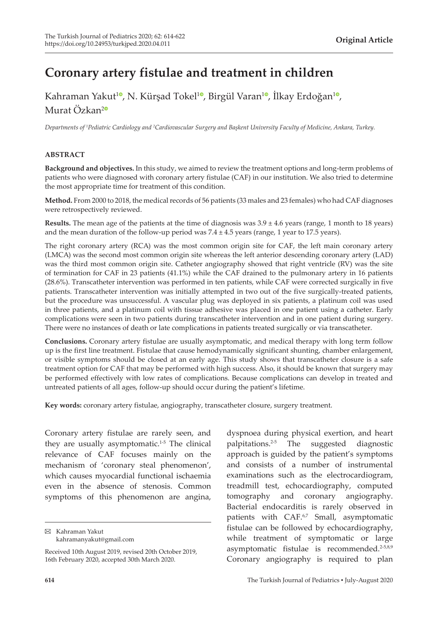# **Coronary artery fistulae and treatment in children**

Kahraman Yakut<sup>10</sup>[,](https://orcid.org/0000-0002-6719-8563) N. Kürşad Tokel<sup>[1](https://orcid.org/0000-0001-6887-3033)0</sup>, Birgül Varan<sup>10</sup>, İlkay Erdoğan<sup>10</sup>, Murat Özkan<sup>[2](https://orcid.org/0000-0003-3991-8479)0</sup>

*Departments of <sup>1</sup> Pediatric Cardiology and <sup>2</sup> Cardiovascular Surgery and Başkent University Faculty of Medicine, Ankara, Turkey.*

#### **ABSTRACT**

**Background and objectives.** In this study, we aimed to review the treatment options and long-term problems of patients who were diagnosed with coronary artery fistulae (CAF) in our institution. We also tried to determine the most appropriate time for treatment of this condition.

**Method.** From 2000 to 2018, the medical records of 56 patients (33 males and 23 females) who had CAF diagnoses were retrospectively reviewed.

**Results.** The mean age of the patients at the time of diagnosis was 3.9 ± 4.6 years (range, 1 month to 18 years) and the mean duration of the follow-up period was  $7.4 \pm 4.5$  years (range, 1 year to 17.5 years).

The right coronary artery (RCA) was the most common origin site for CAF, the left main coronary artery (LMCA) was the second most common origin site whereas the left anterior descending coronary artery (LAD) was the third most common origin site. Catheter angiography showed that right ventricle (RV) was the site of termination for CAF in 23 patients (41.1%) while the CAF drained to the pulmonary artery in 16 patients (28.6%). Transcatheter intervention was performed in ten patients, while CAF were corrected surgically in five patients. Transcatheter intervention was initially attempted in two out of the five surgically-treated patients, but the procedure was unsuccessful. A vascular plug was deployed in six patients, a platinum coil was used in three patients, and a platinum coil with tissue adhesive was placed in one patient using a catheter. Early complications were seen in two patients during transcatheter intervention and in one patient during surgery. There were no instances of death or late complications in patients treated surgically or via transcatheter.

**Conclusions.** Coronary artery fistulae are usually asymptomatic, and medical therapy with long term follow up is the first line treatment. Fistulae that cause hemodynamically significant shunting, chamber enlargement, or visible symptoms should be closed at an early age. This study shows that transcatheter closure is a safe treatment option for CAF that may be performed with high success. Also, it should be known that surgery may be performed effectively with low rates of complications. Because complications can develop in treated and untreated patients of all ages, follow-up should occur during the patient's lifetime.

**Key words:** coronary artery fistulae, angiography, transcatheter closure, surgery treatment.

Coronary artery fistulae are rarely seen, and they are usually asymptomatic.<sup>1-5</sup> The clinical relevance of CAF focuses mainly on the mechanism of 'coronary steal phenomenon', which causes myocardial functional ischaemia even in the absence of stenosis. Common symptoms of this phenomenon are angina,

Kahraman Yakut kahramanyakut@gmail.com dyspnoea during physical exertion, and heart palpitations.2-5 The suggested diagnostic approach is guided by the patient's symptoms and consists of a number of instrumental examinations such as the electrocardiogram, treadmill test, echocardiography, computed tomography and coronary angiography. Bacterial endocarditis is rarely observed in patients with CAF.<sup>6,7</sup> Small, asymptomatic fistulae can be followed by echocardiography, while treatment of symptomatic or large asymptomatic fistulae is recommended.<sup>2-5,8,9</sup> Coronary angiography is required to plan

Received 10th August 2019, revised 20th October 2019, 16th February 2020, accepted 30th March 2020.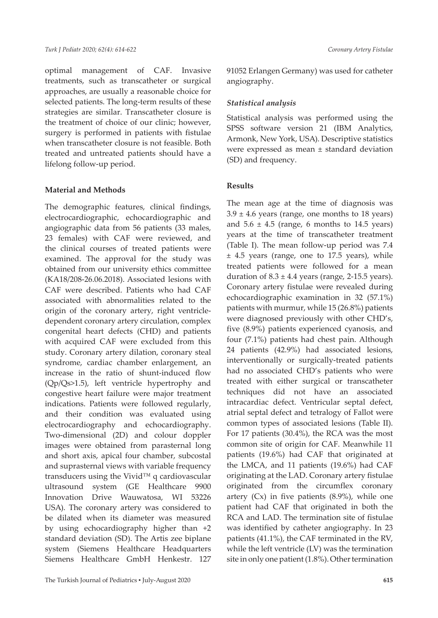optimal management of CAF. Invasive treatments, such as transcatheter or surgical approaches, are usually a reasonable choice for selected patients. The long-term results of these strategies are similar. Transcatheter closure is the treatment of choice of our clinic; however, surgery is performed in patients with fistulae when transcatheter closure is not feasible. Both treated and untreated patients should have a lifelong follow-up period.

#### **Material and Methods**

The demographic features, clinical findings, electrocardiographic, echocardiographic and angiographic data from 56 patients (33 males, 23 females) with CAF were reviewed, and the clinical courses of treated patients were examined. The approval for the study was obtained from our university ethics committee (KA18/208-26.06.2018). Associated lesions with CAF were described. Patients who had CAF associated with abnormalities related to the origin of the coronary artery, right ventricledependent coronary artery circulation, complex congenital heart defects (CHD) and patients with acquired CAF were excluded from this study. Coronary artery dilation, coronary steal syndrome, cardiac chamber enlargement, an increase in the ratio of shunt-induced flow (Qp/Qs>1.5), left ventricle hypertrophy and congestive heart failure were major treatment indications. Patients were followed regularly, and their condition was evaluated using electrocardiography and echocardiography. Two-dimensional (2D) and colour doppler images were obtained from parasternal long and short axis, apical four chamber, subcostal and suprasternal views with variable frequency transducers using the Vivid™ q cardiovascular ultrasound system (GE Healthcare 9900 Innovation Drive Wauwatosa, WI 53226 USA). The coronary artery was considered to be dilated when its diameter was measured by using echocardiography higher than +2 standard deviation (SD). The Artis zee biplane system (Siemens Healthcare Headquarters Siemens Healthcare GmbH Henkestr. 127

91052 Erlangen Germany) was used for catheter angiography.

#### *Statistical analysis*

Statistical analysis was performed using the SPSS software version 21 (IBM Analytics, Armonk, New York, USA). Descriptive statistics were expressed as mean ± standard deviation (SD) and frequency.

### **Results**

The mean age at the time of diagnosis was  $3.9 \pm 4.6$  years (range, one months to 18 years) and  $5.6 \pm 4.5$  (range, 6 months to 14.5 years) years at the time of transcatheter treatment (Table I). The mean follow-up period was 7.4 ± 4.5 years (range, one to 17.5 years), while treated patients were followed for a mean duration of  $8.3 \pm 4.4$  years (range, 2-15.5 years). Coronary artery fistulae were revealed during echocardiographic examination in 32 (57.1%) patients with murmur, while 15 (26.8%) patients were diagnosed previously with other CHD's, five (8.9%) patients experienced cyanosis, and four (7.1%) patients had chest pain. Although 24 patients (42.9%) had associated lesions, interventionally or surgically-treated patients had no associated CHD's patients who were treated with either surgical or transcatheter techniques did not have an associated intracardiac defect. Ventricular septal defect, atrial septal defect and tetralogy of Fallot were common types of associated lesions (Table II). For 17 patients (30.4%), the RCA was the most common site of origin for CAF. Meanwhile 11 patients (19.6%) had CAF that originated at the LMCA, and 11 patients (19.6%) had CAF originating at the LAD. Coronary artery fistulae originated from the circumflex coronary artery  $(Cx)$  in five patients  $(8.9\%)$ , while one patient had CAF that originated in both the RCA and LAD. The termination site of fistulae was identified by catheter angiography. In 23 patients (41.1%), the CAF terminated in the RV, while the left ventricle (LV) was the termination site in only one patient (1.8%). Other termination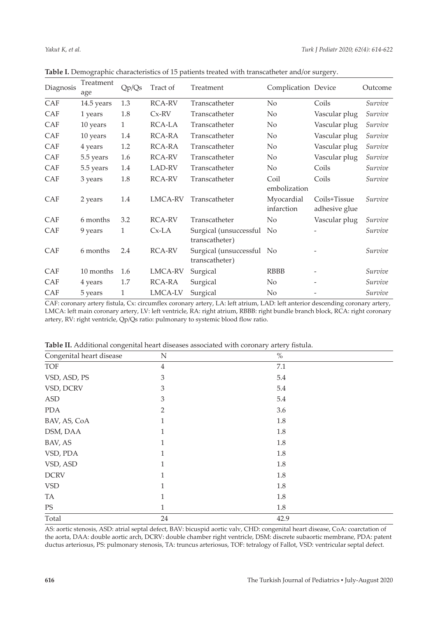| Diagnosis  | Treatment<br>age | Qp/Qs        | Tract of       | Treatment                                   | Complication Device      |                               | Outcome |
|------------|------------------|--------------|----------------|---------------------------------------------|--------------------------|-------------------------------|---------|
| CAF        | 14.5 years       | 1.3          | RCA-RV         | Transcatheter                               | No                       | Coils                         | Survive |
| CAF        | 1 years          | 1.8          | $Cx-RV$        | Transcatheter                               | N <sub>o</sub>           | Vascular plug                 | Survive |
| CAF        | 10 years         | $\mathbf{1}$ | RCA-LA         | Transcatheter                               | N <sub>o</sub>           | Vascular plug                 | Survive |
| CAF        | 10 years         | 1.4          | RCA-RA         | Transcatheter                               | No                       | Vascular plug                 | Survive |
| CAF        | 4 years          | 1.2          | RCA-RA         | Transcatheter                               | N <sub>o</sub>           | Vascular plug                 | Survive |
| CAF        | 5.5 years        | 1.6          | RCA-RV         | Transcatheter                               | $\rm No$                 | Vascular plug                 | Survive |
| CAF        | 5.5 years        | 1.4          | LAD-RV         | Transcatheter                               | N <sub>o</sub>           | Coils                         | Survive |
| CAF        | 3 years          | 1.8          | RCA-RV         | Transcatheter                               | Coil<br>embolization     | Coils                         | Survive |
| <b>CAF</b> | 2 years          | 1.4          | <b>LMCA-RV</b> | Transcatheter                               | Myocardial<br>infarction | Coils+Tissue<br>adhesive glue | Survive |
| <b>CAF</b> | 6 months         | 3.2          | RCA-RV         | Transcatheter                               | N <sub>o</sub>           | Vascular plug                 | Survive |
| CAF        | 9 years          | 1            | $Cx-LA$        | Surgical (unsuccessful No<br>transcatheter) |                          |                               | Survive |
| <b>CAF</b> | 6 months         | 2.4          | RCA-RV         | Surgical (unsuccessful No<br>transcatheter) |                          |                               | Survive |
| CAF        | 10 months        | 1.6          | LMCA-RV        | Surgical                                    | <b>RBBB</b>              |                               | Survive |
| <b>CAF</b> | 4 years          | 1.7          | RCA-RA         | Surgical                                    | No                       |                               | Survive |
| CAF        | 5 years          | 1            | LMCA-LV        | Surgical                                    | N <sub>o</sub>           |                               | Survive |

**Table I.** Demographic characteristics of 15 patients treated with transcatheter and/or surgery.

CAF: coronary artery fistula, Cx: circumflex coronary artery, LA: left atrium, LAD: left anterior descending coronary artery, LMCA: left main coronary artery, LV: left ventricle, RA: right atrium, RBBB: right bundle branch block, RCA: right coronary artery, RV: right ventricle, Qp/Qs ratio: pulmonary to systemic blood flow ratio.

| $\checkmark$<br>$\tilde{\phantom{a}}$<br>$\tilde{\phantom{a}}$ |                |      |  |  |
|----------------------------------------------------------------|----------------|------|--|--|
| Congenital heart disease                                       | N              | $\%$ |  |  |
| <b>TOF</b>                                                     | 4              | 7.1  |  |  |
| VSD, ASD, PS                                                   | 3              | 5.4  |  |  |
| VSD, DCRV                                                      | 3              | 5.4  |  |  |
| <b>ASD</b>                                                     | 3              | 5.4  |  |  |
| <b>PDA</b>                                                     | $\overline{2}$ | 3.6  |  |  |
| BAV, AS, CoA                                                   | 1              | 1.8  |  |  |
| DSM, DAA                                                       | 1              | 1.8  |  |  |
| BAV, AS                                                        | 1              | 1.8  |  |  |
| VSD, PDA                                                       | 1              | 1.8  |  |  |
| VSD, ASD                                                       | 1              | 1.8  |  |  |
| <b>DCRV</b>                                                    | 1              | 1.8  |  |  |
| <b>VSD</b>                                                     | 1              | 1.8  |  |  |
| TA                                                             | 1              | 1.8  |  |  |
| PS                                                             | 1              | 1.8  |  |  |
| Total                                                          | 24             | 42.9 |  |  |

**Table II.** Additional congenital heart diseases associated with coronary artery fistula.

AS: aortic stenosis, ASD: atrial septal defect, BAV: bicuspid aortic valv, CHD: congenital heart disease, CoA: coarctation of the aorta, DAA: double aortic arch, DCRV: double chamber right ventricle, DSM: discrete subaortic membrane, PDA: patent ductus arteriosus, PS: pulmonary stenosis, TA: truncus arteriosus, TOF: tetralogy of Fallot, VSD: ventricular septal defect.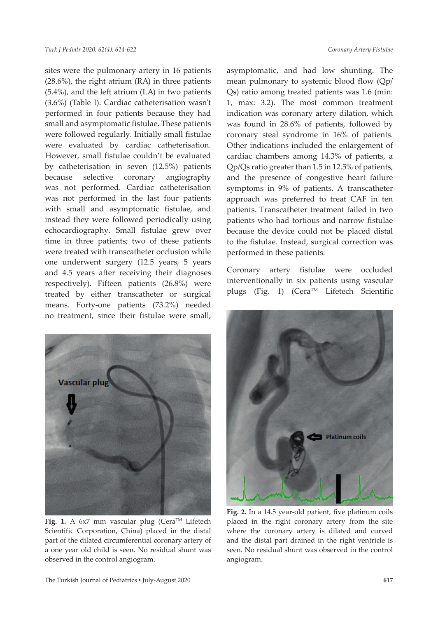sites were the pulmonary artery in 16 patients (28.6%), the right atrium (RA) in three patients (5.4%), and the left atrium (LA) in two patients (3.6%) (Table I). Cardiac catheterisation wasn't performed in four patients because they had small and asymptomatic fistulae. These patients were followed regularly. Initially small fistulae were evaluated by cardiac catheterisation. However, small fistulae couldn't be evaluated by catheterisation in seven (12.5%) patients because selective coronary angiography was not performed. Cardiac catheterisation was not performed in the last four patients with small and asymptomatic fistulae, and instead they were followed periodically using echocardiography. Small fistulae grew over time in three patients; two of these patients were treated with transcatheter occlusion while one underwent surgery (12.5 years, 5 years and 4.5 years after receiving their diagnoses respectively). Fifteen patients (26.8%) were treated by either transcatheter or surgical means. Forty-one patients (73.2%) needed no treatment, since their fistulae were small,



Fig. 1. A 6x7 mm vascular plug (Cera™ Lifetech Scientific Corporation, China) placed in the distal part of the dilated circumferential coronary artery of a one year old child is seen. No residual shunt was observed in the control angiogram.

asymptomatic, and had low shunting. The mean pulmonary to systemic blood flow (Qp/ Qs) ratio among treated patients was 1.6 (min: 1, max: 3.2). The most common treatment indication was coronary artery dilation, which was found in 28.6% of patients, followed by coronary steal syndrome in 16% of patients. Other indications included the enlargement of cardiac chambers among 14.3% of patients, a Qp/Qs ratio greater than 1.5 in 12.5% of patients, and the presence of congestive heart failure symptoms in 9% of patients. A transcatheter approach was preferred to treat CAF in ten patients. Transcatheter treatment failed in two patients who had tortious and narrow fistulae because the device could not be placed distal to the fistulae. Instead, surgical correction was performed in these patients.

Coronary artery fistulae were occluded interventionally in six patients using vascular plugs (Fig. 1) (Cera<sup>TM</sup> Lifetech Scientific



**Fig. 2.** In a 14.5 year-old patient, five platinum coils placed in the right coronary artery from the site where the coronary artery is dilated and curved and the distal part drained in the right ventricle is seen. No residual shunt was observed in the control angiogram.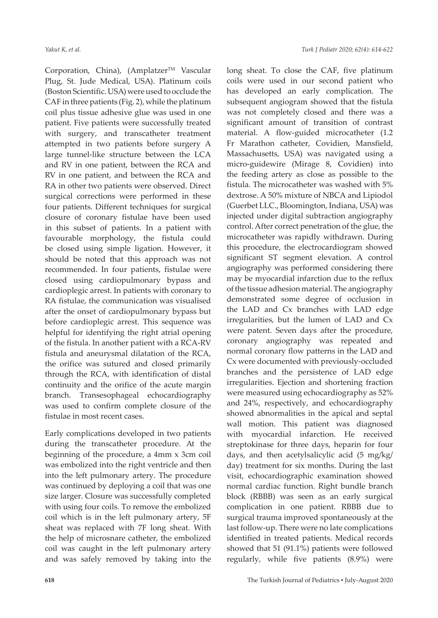Corporation, China), (Amplatzer™ Vascular Plug, St. Jude Medical, USA). Platinum coils (Boston Scientific. USA) were used to occlude the CAF in three patients (Fig. 2), while the platinum coil plus tissue adhesive glue was used in one patient. Five patients were successfully treated with surgery, and transcatheter treatment attempted in two patients before surgery A large tunnel-like structure between the LCA and RV in one patient, between the RCA and RV in one patient, and between the RCA and RA in other two patients were observed. Direct surgical corrections were performed in these four patients. Different techniques for surgical closure of coronary fistulae have been used in this subset of patients. In a patient with favourable morphology, the fistula could be closed using simple ligation. However, it should be noted that this approach was not recommended. In four patients, fistulae were closed using cardiopulmonary bypass and cardioplegic arrest. In patients with coronary to RA fistulae, the communication was visualised after the onset of cardiopulmonary bypass but before cardioplegic arrest. This sequence was helpful for identifying the right atrial opening of the fistula. In another patient with a RCA-RV fistula and aneurysmal dilatation of the RCA, the orifice was sutured and closed primarily through the RCA, with identification of distal continuity and the orifice of the acute margin branch. Transesophageal echocardiography was used to confirm complete closure of the fistulae in most recent cases.

Early complications developed in two patients during the transcatheter procedure. At the beginning of the procedure, a 4mm x 3cm coil was embolized into the right ventricle and then into the left pulmonary artery. The procedure was continued by deploying a coil that was one size larger. Closure was successfully completed with using four coils. To remove the embolized coil which is in the left pulmonary artery, 5F sheat was replaced with 7F long sheat. With the help of microsnare catheter, the embolized coil was caught in the left pulmonary artery and was safely removed by taking into the

long sheat. To close the CAF, five platinum coils were used in our second patient who has developed an early complication. The subsequent angiogram showed that the fistula was not completely closed and there was a significant amount of transition of contrast material. A flow-guided microcatheter (1.2 Fr Marathon catheter, Covidien, Mansfield, Massachusetts, USA) was navigated using a micro-guidewire (Mirage 8, Covidien) into the feeding artery as close as possible to the fistula. The microcatheter was washed with 5% dextrose. A 50% mixture of NBCA and Lipiodol (Guerbet LLC., Bloomington, Indiana, USA) was injected under digital subtraction angiography control. After correct penetration of the glue, the microcatheter was rapidly withdrawn. During this procedure, the electrocardiogram showed significant ST segment elevation. A control angiography was performed considering there may be myocardial infarction due to the reflux of the tissue adhesion material. The angiography demonstrated some degree of occlusion in the LAD and Cx branches with LAD edge irregularities, but the lumen of LAD and Cx were patent. Seven days after the procedure, coronary angiography was repeated and normal coronary flow patterns in the LAD and Cx were documented with previously-occluded branches and the persistence of LAD edge irregularities. Ejection and shortening fraction were measured using echocardiography as 52% and 24%, respectively, and echocardiography showed abnormalities in the apical and septal wall motion. This patient was diagnosed with myocardial infarction. He received streptokinase for three days, heparin for four days, and then acetylsalicylic acid (5 mg/kg/ day) treatment for six months. During the last visit, echocardiographic examination showed normal cardiac function. Right bundle branch block (RBBB) was seen as an early surgical complication in one patient. RBBB due to surgical trauma improved spontaneously at the last follow-up. There were no late complications identified in treated patients. Medical records showed that 51 (91.1%) patients were followed regularly, while five patients (8.9%) were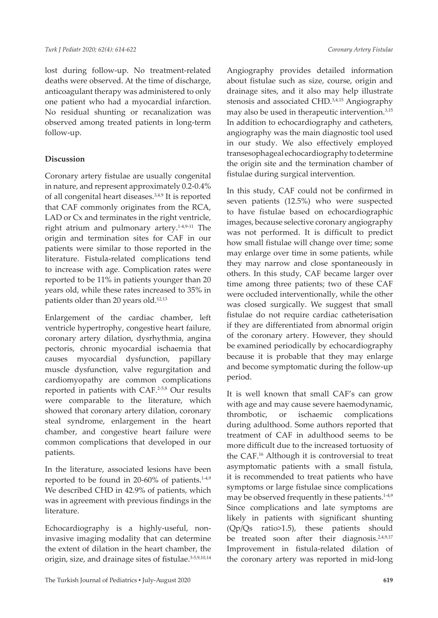lost during follow-up. No treatment-related deaths were observed. At the time of discharge, anticoagulant therapy was administered to only one patient who had a myocardial infarction. No residual shunting or recanalization was observed among treated patients in long-term follow-up.

## **Discussion**

Coronary artery fistulae are usually congenital in nature, and represent approximately 0.2-0.4% of all congenital heart diseases.3,4,9 It is reported that CAF commonly originates from the RCA, LAD or Cx and terminates in the right ventricle, right atrium and pulmonary artery.<sup>1-4,9-11</sup> The origin and termination sites for CAF in our patients were similar to those reported in the literature. Fistula-related complications tend to increase with age. Complication rates were reported to be 11% in patients younger than 20 years old, while these rates increased to 35% in patients older than 20 years old.<sup>12,13</sup>

Enlargement of the cardiac chamber, left ventricle hypertrophy, congestive heart failure, coronary artery dilation, dysrhythmia, angina pectoris, chronic myocardial ischaemia that causes myocardial dysfunction, papillary muscle dysfunction, valve regurgitation and cardiomyopathy are common complications reported in patients with CAF.2-5,8 Our results were comparable to the literature, which showed that coronary artery dilation, coronary steal syndrome, enlargement in the heart chamber, and congestive heart failure were common complications that developed in our patients.

In the literature, associated lesions have been reported to be found in 20-60% of patients. $14,9$ We described CHD in 42.9% of patients, which was in agreement with previous findings in the literature.

Echocardiography is a highly-useful, noninvasive imaging modality that can determine the extent of dilation in the heart chamber, the origin, size, and drainage sites of fistulae.<sup>3-5,9,10,14</sup> Angiography provides detailed information about fistulae such as size, course, origin and drainage sites, and it also may help illustrate stenosis and associated CHD.<sup>3,4,15</sup> Angiography may also be used in therapeutic intervention.3,15 In addition to echocardiography and catheters, angiography was the main diagnostic tool used in our study. We also effectively employed transesophageal echocardiography to determine the origin site and the termination chamber of fistulae during surgical intervention.

In this study, CAF could not be confirmed in seven patients (12.5%) who were suspected to have fistulae based on echocardiographic images, because selective coronary angiography was not performed. It is difficult to predict how small fistulae will change over time; some may enlarge over time in some patients, while they may narrow and close spontaneously in others. In this study, CAF became larger over time among three patients; two of these CAF were occluded interventionally, while the other was closed surgically. We suggest that small fistulae do not require cardiac catheterisation if they are differentiated from abnormal origin of the coronary artery. However, they should be examined periodically by echocardiography because it is probable that they may enlarge and become symptomatic during the follow-up period.

It is well known that small CAF's can grow with age and may cause severe haemodynamic, thrombotic, or ischaemic complications during adulthood. Some authors reported that treatment of CAF in adulthood seems to be more difficult due to the increased tortuosity of the CAF.16 Although it is controversial to treat asymptomatic patients with a small fistula, it is recommended to treat patients who have symptoms or large fistulae since complications may be observed frequently in these patients.<sup>1-4,9</sup> Since complications and late symptoms are likely in patients with significant shunting (Qp/Qs ratio>1.5), these patients should be treated soon after their diagnosis.<sup>2,4,9,17</sup> Improvement in fistula-related dilation of the coronary artery was reported in mid-long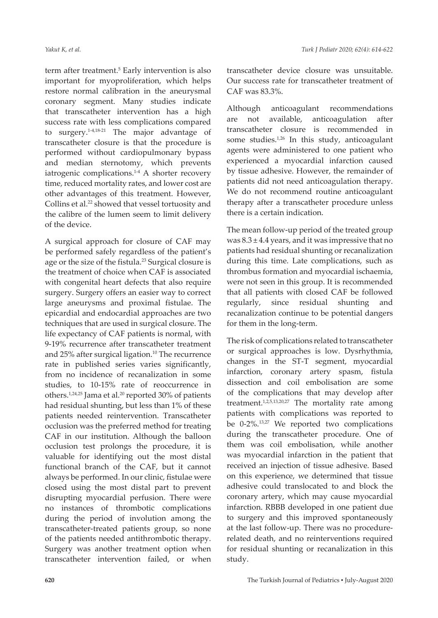term after treatment.<sup>5</sup> Early intervention is also important for myoproliferation, which helps restore normal calibration in the aneurysmal coronary segment. Many studies indicate that transcatheter intervention has a high success rate with less complications compared to surgery.1-4,18-21 The major advantage of transcatheter closure is that the procedure is performed without cardiopulmonary bypass and median sternotomy, which prevents iatrogenic complications.<sup>1-4</sup> A shorter recovery time, reduced mortality rates, and lower cost are other advantages of this treatment. However, Collins et al.<sup>22</sup> showed that vessel tortuosity and the calibre of the lumen seem to limit delivery of the device.

A surgical approach for closure of CAF may be performed safely regardless of the patient's age or the size of the fistula.<sup>23</sup> Surgical closure is the treatment of choice when CAF is associated with congenital heart defects that also require surgery. Surgery offers an easier way to correct large aneurysms and proximal fistulae. The epicardial and endocardial approaches are two techniques that are used in surgical closure. The life expectancy of CAF patients is normal, with 9-19% recurrence after transcatheter treatment and 25% after surgical ligation.<sup>10</sup> The recurrence rate in published series varies significantly, from no incidence of recanalization in some studies, to 10-15% rate of reoccurrence in others.<sup>1,24,25</sup> Jama et al.<sup>20</sup> reported 30% of patients had residual shunting, but less than 1% of these patients needed reintervention. Transcatheter occlusion was the preferred method for treating CAF in our institution. Although the balloon occlusion test prolongs the procedure, it is valuable for identifying out the most distal functional branch of the CAF, but it cannot always be performed. In our clinic, fistulae were closed using the most distal part to prevent disrupting myocardial perfusion. There were no instances of thrombotic complications during the period of involution among the transcatheter-treated patients group, so none of the patients needed antithrombotic therapy. Surgery was another treatment option when transcatheter intervention failed, or when

transcatheter device closure was unsuitable. Our success rate for transcatheter treatment of CAF was 83.3%.

Although anticoagulant recommendations are not available, anticoagulation after transcatheter closure is recommended in some studies.<sup>1,26</sup> In this study, anticoagulant agents were administered to one patient who experienced a myocardial infarction caused by tissue adhesive. However, the remainder of patients did not need anticoagulation therapy. We do not recommend routine anticoagulant therapy after a transcatheter procedure unless there is a certain indication.

The mean follow-up period of the treated group was  $8.3 \pm 4.4$  years, and it was impressive that no patients had residual shunting or recanalization during this time. Late complications, such as thrombus formation and myocardial ischaemia, were not seen in this group. It is recommended that all patients with closed CAF be followed regularly, since residual shunting and recanalization continue to be potential dangers for them in the long-term.

The risk of complications related to transcatheter or surgical approaches is low. Dysrhythmia, changes in the ST-T segment, myocardial infarction, coronary artery spasm, fistula dissection and coil embolisation are some of the complications that may develop after treatment.<sup>1,2,5,13,20,27</sup> The mortality rate among patients with complications was reported to be 0-2%.13,27 We reported two complications during the transcatheter procedure. One of them was coil embolisation, while another was myocardial infarction in the patient that received an injection of tissue adhesive. Based on this experience, we determined that tissue adhesive could translocated to and block the coronary artery, which may cause myocardial infarction. RBBB developed in one patient due to surgery and this improved spontaneously at the last follow-up. There was no procedurerelated death, and no reinterventions required for residual shunting or recanalization in this study.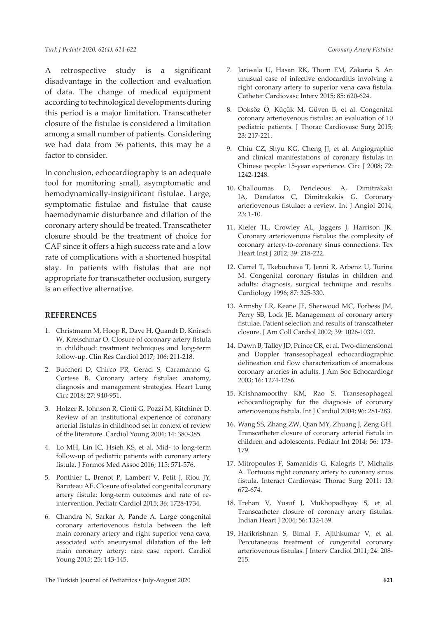A retrospective study is a significant disadvantage in the collection and evaluation of data. The change of medical equipment according to technological developments during this period is a major limitation. Transcatheter closure of the fistulae is considered a limitation among a small number of patients. Considering we had data from 56 patients, this may be a factor to consider.

In conclusion, echocardiography is an adequate tool for monitoring small, asymptomatic and hemodynamically-insignificant fistulae. Large, symptomatic fistulae and fistulae that cause haemodynamic disturbance and dilation of the coronary artery should be treated. Transcatheter closure should be the treatment of choice for CAF since it offers a high success rate and a low rate of complications with a shortened hospital stay. In patients with fistulas that are not appropriate for transcatheter occlusion, surgery is an effective alternative.

#### **REFERENCES**

- 1. Christmann M, Hoop R, Dave H, Quandt D, Knirsch W, Kretschmar O. Closure of coronary artery fistula in childhood: treatment techniques and long-term follow-up. Clin Res Cardiol 2017; 106: 211-218.
- 2. Buccheri D, Chirco PR, Geraci S, Caramanno G, Cortese B. Coronary artery fistulae: anatomy, diagnosis and management strategies. Heart Lung Circ 2018; 27: 940-951.
- 3. Holzer R, Johnson R, Ciotti G, Pozzi M, Kitchiner D. Review of an institutional experience of coronary arterial fistulas in childhood set in context of review of the literature. Cardiol Young 2004; 14: 380-385.
- 4. Lo MH, Lin IC, Hsieh KS, et al. Mid- to long-term follow-up of pediatric patients with coronary artery fistula. J Formos Med Assoc 2016; 115: 571-576.
- 5. Ponthier L, Brenot P, Lambert V, Petit J, Riou JY, Baruteau AE. Closure of isolated congenital coronary artery fistula: long-term outcomes and rate of reintervention. Pediatr Cardiol 2015; 36: 1728-1734.
- 6. Chandra N, Sarkar A, Pande A. Large congenital coronary arteriovenous fistula between the left main coronary artery and right superior vena cava, associated with aneurysmal dilatation of the left main coronary artery: rare case report. Cardiol Young 2015; 25: 143-145.
- 7. Jariwala U, Hasan RK, Thorn EM, Zakaria S. An unusual case of infective endocarditis involving a right coronary artery to superior vena cava fistula. Catheter Cardiovasc Interv 2015; 85: 620-624.
- 8. Doksöz Ö, Küçük M, Güven B, et al. Congenital coronary arteriovenous fistulas: an evaluation of 10 pediatric patients. J Thorac Cardiovasc Surg 2015; 23: 217-221.
- 9. Chiu CZ, Shyu KG, Cheng JJ, et al. Angiographic and clinical manifestations of coronary fistulas in Chinese people: 15-year experience. Circ J 2008; 72: 1242-1248.
- 10. Challoumas D, Pericleous A, Dimitrakaki IA, Danelatos C, Dimitrakakis G. Coronary arteriovenous fistulae: a review. Int J Angiol 2014; 23: 1-10.
- 11. Kiefer TL, Crowley AL, Jaggers J, Harrison JK. Coronary arteriovenous fistulae: the complexity of coronary artery-to-coronary sinus connections. Tex Heart Inst J 2012; 39: 218-222.
- 12. Carrel T, Tkebuchava T, Jenni R, Arbenz U, Turina M. Congenital coronary fistulas in children and adults: diagnosis, surgical technique and results. Cardiology 1996; 87: 325-330.
- 13. Armsby LR, Keane JF, Sherwood MC, Forbess JM, Perry SB, Lock JE. Management of coronary artery fistulae. Patient selection and results of transcatheter closure. J Am Coll Cardiol 2002; 39: 1026-1032.
- 14. Dawn B, Talley JD, Prince CR, et al. Two-dimensional and Doppler transesophageal echocardiographic delineation and flow characterization of anomalous coronary arteries in adults. J Am Soc Echocardiogr 2003; 16: 1274-1286.
- 15. Krishnamoorthy KM, Rao S. Transesophageal echocardiography for the diagnosis of coronary arteriovenous fistula. Int J Cardiol 2004; 96: 281-283.
- 16. Wang SS, Zhang ZW, Qian MY, Zhuang J, Zeng GH. Transcatheter closure of coronary arterial fistula in children and adolescents. Pediatr Int 2014; 56: 173- 179.
- 17. Mitropoulos F, Samanidis G, Kalogris P, Michalis A. Tortuous right coronary artery to coronary sinus fistula. Interact Cardiovasc Thorac Surg 2011: 13: 672-674.
- 18. Trehan V, Yusuf J, Mukhopadhyay S, et al. Transcatheter closure of coronary artery fistulas. Indian Heart J 2004; 56: 132-139.
- 19. Harikrishnan S, Bimal F, Ajithkumar V, et al. Percutaneous treatment of congenital coronary arteriovenous fistulas. J Interv Cardiol 2011; 24: 208- 215.